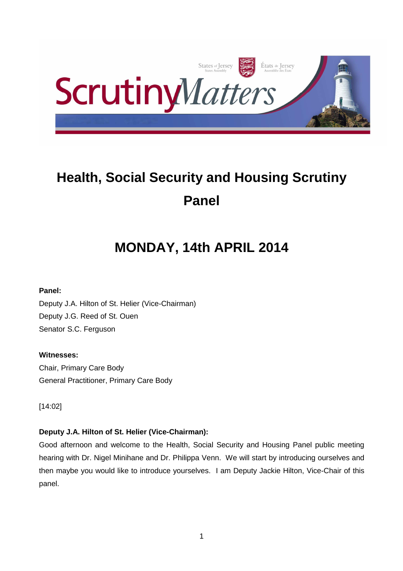

# **Health, Social Security and Housing Scrutiny Panel**

# **MONDAY, 14th APRIL 2014**

# **Panel:**

Deputy J.A. Hilton of St. Helier (Vice-Chairman) Deputy J.G. Reed of St. Ouen Senator S.C. Ferguson

# **Witnesses:**

Chair, Primary Care Body General Practitioner, Primary Care Body

[14:02]

# **Deputy J.A. Hilton of St. Helier (Vice-Chairman):**

Good afternoon and welcome to the Health, Social Security and Housing Panel public meeting hearing with Dr. Nigel Minihane and Dr. Philippa Venn. We will start by introducing ourselves and then maybe you would like to introduce yourselves. I am Deputy Jackie Hilton, Vice-Chair of this panel.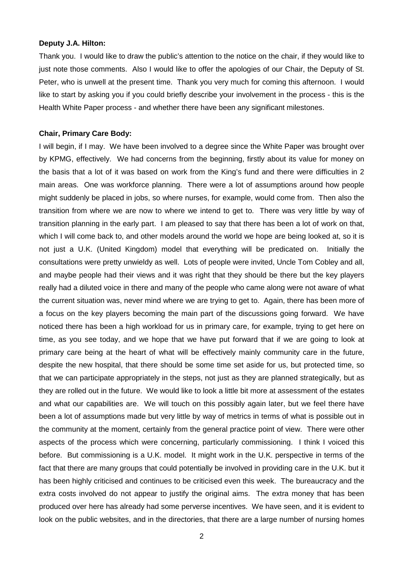#### **Deputy J.A. Hilton:**

Thank you. I would like to draw the public's attention to the notice on the chair, if they would like to just note those comments. Also I would like to offer the apologies of our Chair, the Deputy of St. Peter, who is unwell at the present time. Thank you very much for coming this afternoon. I would like to start by asking you if you could briefly describe your involvement in the process - this is the Health White Paper process - and whether there have been any significant milestones.

#### **Chair, Primary Care Body:**

I will begin, if I may. We have been involved to a degree since the White Paper was brought over by KPMG, effectively. We had concerns from the beginning, firstly about its value for money on the basis that a lot of it was based on work from the King's fund and there were difficulties in 2 main areas. One was workforce planning. There were a lot of assumptions around how people might suddenly be placed in jobs, so where nurses, for example, would come from. Then also the transition from where we are now to where we intend to get to. There was very little by way of transition planning in the early part. I am pleased to say that there has been a lot of work on that, which I will come back to, and other models around the world we hope are being looked at, so it is not just a U.K. (United Kingdom) model that everything will be predicated on. Initially the consultations were pretty unwieldy as well. Lots of people were invited, Uncle Tom Cobley and all, and maybe people had their views and it was right that they should be there but the key players really had a diluted voice in there and many of the people who came along were not aware of what the current situation was, never mind where we are trying to get to. Again, there has been more of a focus on the key players becoming the main part of the discussions going forward. We have noticed there has been a high workload for us in primary care, for example, trying to get here on time, as you see today, and we hope that we have put forward that if we are going to look at primary care being at the heart of what will be effectively mainly community care in the future, despite the new hospital, that there should be some time set aside for us, but protected time, so that we can participate appropriately in the steps, not just as they are planned strategically, but as they are rolled out in the future. We would like to look a little bit more at assessment of the estates and what our capabilities are. We will touch on this possibly again later, but we feel there have been a lot of assumptions made but very little by way of metrics in terms of what is possible out in the community at the moment, certainly from the general practice point of view. There were other aspects of the process which were concerning, particularly commissioning. I think I voiced this before. But commissioning is a U.K. model. It might work in the U.K. perspective in terms of the fact that there are many groups that could potentially be involved in providing care in the U.K. but it has been highly criticised and continues to be criticised even this week. The bureaucracy and the extra costs involved do not appear to justify the original aims. The extra money that has been produced over here has already had some perverse incentives. We have seen, and it is evident to look on the public websites, and in the directories, that there are a large number of nursing homes

2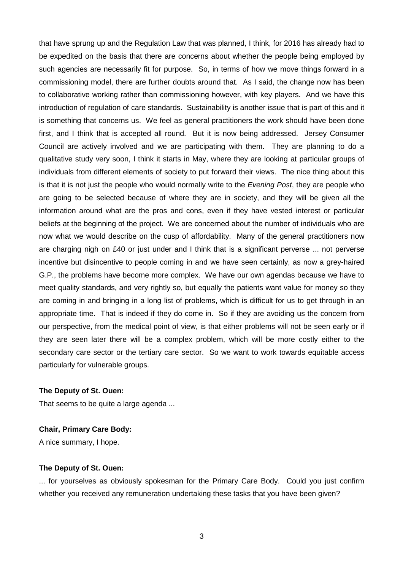that have sprung up and the Regulation Law that was planned, I think, for 2016 has already had to be expedited on the basis that there are concerns about whether the people being employed by such agencies are necessarily fit for purpose. So, in terms of how we move things forward in a commissioning model, there are further doubts around that. As I said, the change now has been to collaborative working rather than commissioning however, with key players. And we have this introduction of regulation of care standards. Sustainability is another issue that is part of this and it is something that concerns us. We feel as general practitioners the work should have been done first, and I think that is accepted all round. But it is now being addressed. Jersey Consumer Council are actively involved and we are participating with them. They are planning to do a qualitative study very soon, I think it starts in May, where they are looking at particular groups of individuals from different elements of society to put forward their views. The nice thing about this is that it is not just the people who would normally write to the Evening Post, they are people who are going to be selected because of where they are in society, and they will be given all the information around what are the pros and cons, even if they have vested interest or particular beliefs at the beginning of the project. We are concerned about the number of individuals who are now what we would describe on the cusp of affordability. Many of the general practitioners now are charging nigh on £40 or just under and I think that is a significant perverse ... not perverse incentive but disincentive to people coming in and we have seen certainly, as now a grey-haired G.P., the problems have become more complex. We have our own agendas because we have to meet quality standards, and very rightly so, but equally the patients want value for money so they are coming in and bringing in a long list of problems, which is difficult for us to get through in an appropriate time. That is indeed if they do come in. So if they are avoiding us the concern from our perspective, from the medical point of view, is that either problems will not be seen early or if they are seen later there will be a complex problem, which will be more costly either to the secondary care sector or the tertiary care sector. So we want to work towards equitable access particularly for vulnerable groups.

#### **The Deputy of St. Ouen:**

That seems to be quite a large agenda ...

## **Chair, Primary Care Body:**

A nice summary, I hope.

#### **The Deputy of St. Ouen:**

... for yourselves as obviously spokesman for the Primary Care Body. Could you just confirm whether you received any remuneration undertaking these tasks that you have been given?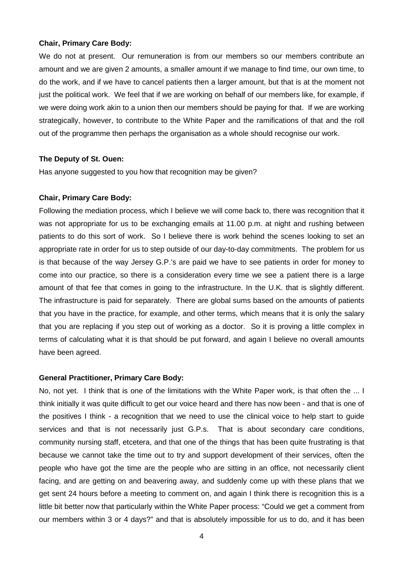#### **Chair, Primary Care Body:**

We do not at present. Our remuneration is from our members so our members contribute an amount and we are given 2 amounts, a smaller amount if we manage to find time, our own time, to do the work, and if we have to cancel patients then a larger amount, but that is at the moment not just the political work. We feel that if we are working on behalf of our members like, for example, if we were doing work akin to a union then our members should be paying for that. If we are working strategically, however, to contribute to the White Paper and the ramifications of that and the roll out of the programme then perhaps the organisation as a whole should recognise our work.

## **The Deputy of St. Ouen:**

Has anyone suggested to you how that recognition may be given?

#### **Chair, Primary Care Body:**

Following the mediation process, which I believe we will come back to, there was recognition that it was not appropriate for us to be exchanging emails at 11.00 p.m. at night and rushing between patients to do this sort of work. So I believe there is work behind the scenes looking to set an appropriate rate in order for us to step outside of our day-to-day commitments. The problem for us is that because of the way Jersey G.P.'s are paid we have to see patients in order for money to come into our practice, so there is a consideration every time we see a patient there is a large amount of that fee that comes in going to the infrastructure. In the U.K. that is slightly different. The infrastructure is paid for separately. There are global sums based on the amounts of patients that you have in the practice, for example, and other terms, which means that it is only the salary that you are replacing if you step out of working as a doctor. So it is proving a little complex in terms of calculating what it is that should be put forward, and again I believe no overall amounts have been agreed.

#### **General Practitioner, Primary Care Body:**

No, not yet. I think that is one of the limitations with the White Paper work, is that often the ... I think initially it was quite difficult to get our voice heard and there has now been - and that is one of the positives I think - a recognition that we need to use the clinical voice to help start to guide services and that is not necessarily just G.P.s. That is about secondary care conditions, community nursing staff, etcetera, and that one of the things that has been quite frustrating is that because we cannot take the time out to try and support development of their services, often the people who have got the time are the people who are sitting in an office, not necessarily client facing, and are getting on and beavering away, and suddenly come up with these plans that we get sent 24 hours before a meeting to comment on, and again I think there is recognition this is a little bit better now that particularly within the White Paper process: "Could we get a comment from our members within 3 or 4 days?" and that is absolutely impossible for us to do, and it has been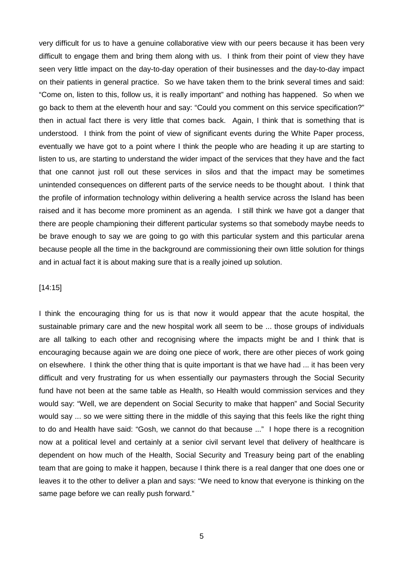very difficult for us to have a genuine collaborative view with our peers because it has been very difficult to engage them and bring them along with us. I think from their point of view they have seen very little impact on the day-to-day operation of their businesses and the day-to-day impact on their patients in general practice. So we have taken them to the brink several times and said: "Come on, listen to this, follow us, it is really important" and nothing has happened. So when we go back to them at the eleventh hour and say: "Could you comment on this service specification?" then in actual fact there is very little that comes back. Again, I think that is something that is understood. I think from the point of view of significant events during the White Paper process, eventually we have got to a point where I think the people who are heading it up are starting to listen to us, are starting to understand the wider impact of the services that they have and the fact that one cannot just roll out these services in silos and that the impact may be sometimes unintended consequences on different parts of the service needs to be thought about. I think that the profile of information technology within delivering a health service across the Island has been raised and it has become more prominent as an agenda. I still think we have got a danger that there are people championing their different particular systems so that somebody maybe needs to be brave enough to say we are going to go with this particular system and this particular arena because people all the time in the background are commissioning their own little solution for things and in actual fact it is about making sure that is a really joined up solution.

## [14:15]

I think the encouraging thing for us is that now it would appear that the acute hospital, the sustainable primary care and the new hospital work all seem to be ... those groups of individuals are all talking to each other and recognising where the impacts might be and I think that is encouraging because again we are doing one piece of work, there are other pieces of work going on elsewhere. I think the other thing that is quite important is that we have had ... it has been very difficult and very frustrating for us when essentially our paymasters through the Social Security fund have not been at the same table as Health, so Health would commission services and they would say: "Well, we are dependent on Social Security to make that happen" and Social Security would say ... so we were sitting there in the middle of this saying that this feels like the right thing to do and Health have said: "Gosh, we cannot do that because ..." I hope there is a recognition now at a political level and certainly at a senior civil servant level that delivery of healthcare is dependent on how much of the Health, Social Security and Treasury being part of the enabling team that are going to make it happen, because I think there is a real danger that one does one or leaves it to the other to deliver a plan and says: "We need to know that everyone is thinking on the same page before we can really push forward."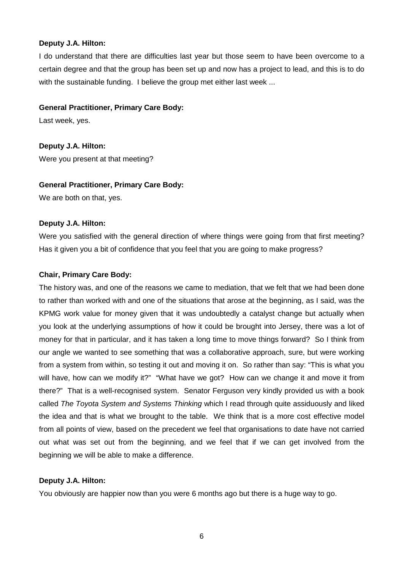## **Deputy J.A. Hilton:**

I do understand that there are difficulties last year but those seem to have been overcome to a certain degree and that the group has been set up and now has a project to lead, and this is to do with the sustainable funding. I believe the group met either last week ...

#### **General Practitioner, Primary Care Body:**

Last week, yes.

**Deputy J.A. Hilton:** Were you present at that meeting?

#### **General Practitioner, Primary Care Body:**

We are both on that, yes.

#### **Deputy J.A. Hilton:**

Were you satisfied with the general direction of where things were going from that first meeting? Has it given you a bit of confidence that you feel that you are going to make progress?

## **Chair, Primary Care Body:**

The history was, and one of the reasons we came to mediation, that we felt that we had been done to rather than worked with and one of the situations that arose at the beginning, as I said, was the KPMG work value for money given that it was undoubtedly a catalyst change but actually when you look at the underlying assumptions of how it could be brought into Jersey, there was a lot of money for that in particular, and it has taken a long time to move things forward? So I think from our angle we wanted to see something that was a collaborative approach, sure, but were working from a system from within, so testing it out and moving it on. So rather than say: "This is what you will have, how can we modify it?" "What have we got? How can we change it and move it from there?" That is a well-recognised system. Senator Ferguson very kindly provided us with a book called The Toyota System and Systems Thinking which I read through quite assiduously and liked the idea and that is what we brought to the table. We think that is a more cost effective model from all points of view, based on the precedent we feel that organisations to date have not carried out what was set out from the beginning, and we feel that if we can get involved from the beginning we will be able to make a difference.

## **Deputy J.A. Hilton:**

You obviously are happier now than you were 6 months ago but there is a huge way to go.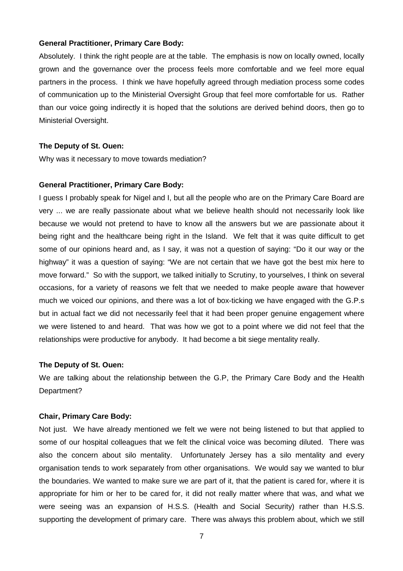#### **General Practitioner, Primary Care Body:**

Absolutely. I think the right people are at the table. The emphasis is now on locally owned, locally grown and the governance over the process feels more comfortable and we feel more equal partners in the process. I think we have hopefully agreed through mediation process some codes of communication up to the Ministerial Oversight Group that feel more comfortable for us. Rather than our voice going indirectly it is hoped that the solutions are derived behind doors, then go to Ministerial Oversight.

#### **The Deputy of St. Ouen:**

Why was it necessary to move towards mediation?

#### **General Practitioner, Primary Care Body:**

I guess I probably speak for Nigel and I, but all the people who are on the Primary Care Board are very ... we are really passionate about what we believe health should not necessarily look like because we would not pretend to have to know all the answers but we are passionate about it being right and the healthcare being right in the Island. We felt that it was quite difficult to get some of our opinions heard and, as I say, it was not a question of saying: "Do it our way or the highway" it was a question of saying: "We are not certain that we have got the best mix here to move forward." So with the support, we talked initially to Scrutiny, to yourselves, I think on several occasions, for a variety of reasons we felt that we needed to make people aware that however much we voiced our opinions, and there was a lot of box-ticking we have engaged with the G.P.s but in actual fact we did not necessarily feel that it had been proper genuine engagement where we were listened to and heard. That was how we got to a point where we did not feel that the relationships were productive for anybody. It had become a bit siege mentality really.

#### **The Deputy of St. Ouen:**

We are talking about the relationship between the G.P, the Primary Care Body and the Health Department?

#### **Chair, Primary Care Body:**

Not just. We have already mentioned we felt we were not being listened to but that applied to some of our hospital colleagues that we felt the clinical voice was becoming diluted. There was also the concern about silo mentality. Unfortunately Jersey has a silo mentality and every organisation tends to work separately from other organisations. We would say we wanted to blur the boundaries. We wanted to make sure we are part of it, that the patient is cared for, where it is appropriate for him or her to be cared for, it did not really matter where that was, and what we were seeing was an expansion of H.S.S. (Health and Social Security) rather than H.S.S. supporting the development of primary care. There was always this problem about, which we still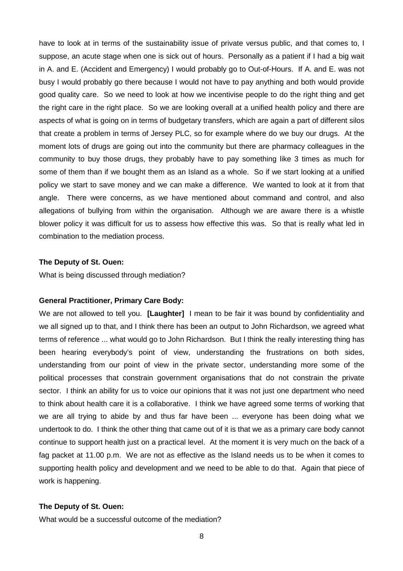have to look at in terms of the sustainability issue of private versus public, and that comes to, I suppose, an acute stage when one is sick out of hours. Personally as a patient if I had a big wait in A. and E. (Accident and Emergency) I would probably go to Out-of-Hours. If A. and E. was not busy I would probably go there because I would not have to pay anything and both would provide good quality care. So we need to look at how we incentivise people to do the right thing and get the right care in the right place. So we are looking overall at a unified health policy and there are aspects of what is going on in terms of budgetary transfers, which are again a part of different silos that create a problem in terms of Jersey PLC, so for example where do we buy our drugs. At the moment lots of drugs are going out into the community but there are pharmacy colleagues in the community to buy those drugs, they probably have to pay something like 3 times as much for some of them than if we bought them as an Island as a whole. So if we start looking at a unified policy we start to save money and we can make a difference. We wanted to look at it from that angle. There were concerns, as we have mentioned about command and control, and also allegations of bullying from within the organisation. Although we are aware there is a whistle blower policy it was difficult for us to assess how effective this was. So that is really what led in combination to the mediation process.

#### **The Deputy of St. Ouen:**

What is being discussed through mediation?

## **General Practitioner, Primary Care Body:**

We are not allowed to tell you. **[Laughter]** I mean to be fair it was bound by confidentiality and we all signed up to that, and I think there has been an output to John Richardson, we agreed what terms of reference ... what would go to John Richardson. But I think the really interesting thing has been hearing everybody's point of view, understanding the frustrations on both sides, understanding from our point of view in the private sector, understanding more some of the political processes that constrain government organisations that do not constrain the private sector. I think an ability for us to voice our opinions that it was not just one department who need to think about health care it is a collaborative. I think we have agreed some terms of working that we are all trying to abide by and thus far have been ... everyone has been doing what we undertook to do. I think the other thing that came out of it is that we as a primary care body cannot continue to support health just on a practical level. At the moment it is very much on the back of a fag packet at 11.00 p.m. We are not as effective as the Island needs us to be when it comes to supporting health policy and development and we need to be able to do that. Again that piece of work is happening.

#### **The Deputy of St. Ouen:**

What would be a successful outcome of the mediation?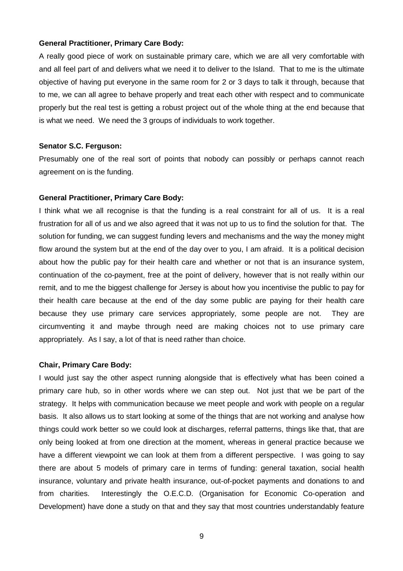#### **General Practitioner, Primary Care Body:**

A really good piece of work on sustainable primary care, which we are all very comfortable with and all feel part of and delivers what we need it to deliver to the Island. That to me is the ultimate objective of having put everyone in the same room for 2 or 3 days to talk it through, because that to me, we can all agree to behave properly and treat each other with respect and to communicate properly but the real test is getting a robust project out of the whole thing at the end because that is what we need. We need the 3 groups of individuals to work together.

#### **Senator S.C. Ferguson:**

Presumably one of the real sort of points that nobody can possibly or perhaps cannot reach agreement on is the funding.

#### **General Practitioner, Primary Care Body:**

I think what we all recognise is that the funding is a real constraint for all of us. It is a real frustration for all of us and we also agreed that it was not up to us to find the solution for that. The solution for funding, we can suggest funding levers and mechanisms and the way the money might flow around the system but at the end of the day over to you, I am afraid. It is a political decision about how the public pay for their health care and whether or not that is an insurance system, continuation of the co-payment, free at the point of delivery, however that is not really within our remit, and to me the biggest challenge for Jersey is about how you incentivise the public to pay for their health care because at the end of the day some public are paying for their health care because they use primary care services appropriately, some people are not. They are circumventing it and maybe through need are making choices not to use primary care appropriately. As I say, a lot of that is need rather than choice.

#### **Chair, Primary Care Body:**

I would just say the other aspect running alongside that is effectively what has been coined a primary care hub, so in other words where we can step out. Not just that we be part of the strategy. It helps with communication because we meet people and work with people on a regular basis. It also allows us to start looking at some of the things that are not working and analyse how things could work better so we could look at discharges, referral patterns, things like that, that are only being looked at from one direction at the moment, whereas in general practice because we have a different viewpoint we can look at them from a different perspective. I was going to say there are about 5 models of primary care in terms of funding: general taxation, social health insurance, voluntary and private health insurance, out-of-pocket payments and donations to and from charities. Interestingly the O.E.C.D. (Organisation for Economic Co-operation and Development) have done a study on that and they say that most countries understandably feature

9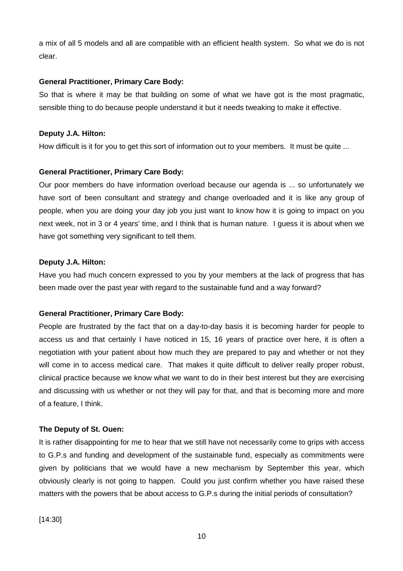a mix of all 5 models and all are compatible with an efficient health system. So what we do is not clear.

## **General Practitioner, Primary Care Body:**

So that is where it may be that building on some of what we have got is the most pragmatic, sensible thing to do because people understand it but it needs tweaking to make it effective.

## **Deputy J.A. Hilton:**

How difficult is it for you to get this sort of information out to your members. It must be quite ...

# **General Practitioner, Primary Care Body:**

Our poor members do have information overload because our agenda is ... so unfortunately we have sort of been consultant and strategy and change overloaded and it is like any group of people, when you are doing your day job you just want to know how it is going to impact on you next week, not in 3 or 4 years' time, and I think that is human nature. I guess it is about when we have got something very significant to tell them.

## **Deputy J.A. Hilton:**

Have you had much concern expressed to you by your members at the lack of progress that has been made over the past year with regard to the sustainable fund and a way forward?

# **General Practitioner, Primary Care Body:**

People are frustrated by the fact that on a day-to-day basis it is becoming harder for people to access us and that certainly I have noticed in 15, 16 years of practice over here, it is often a negotiation with your patient about how much they are prepared to pay and whether or not they will come in to access medical care. That makes it quite difficult to deliver really proper robust, clinical practice because we know what we want to do in their best interest but they are exercising and discussing with us whether or not they will pay for that, and that is becoming more and more of a feature, I think.

## **The Deputy of St. Ouen:**

It is rather disappointing for me to hear that we still have not necessarily come to grips with access to G.P.s and funding and development of the sustainable fund, especially as commitments were given by politicians that we would have a new mechanism by September this year, which obviously clearly is not going to happen. Could you just confirm whether you have raised these matters with the powers that be about access to G.P.s during the initial periods of consultation?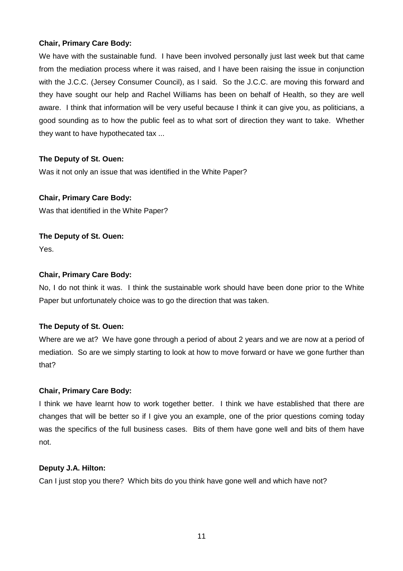# **Chair, Primary Care Body:**

We have with the sustainable fund. I have been involved personally just last week but that came from the mediation process where it was raised, and I have been raising the issue in conjunction with the J.C.C. (Jersey Consumer Council), as I said. So the J.C.C. are moving this forward and they have sought our help and Rachel Williams has been on behalf of Health, so they are well aware. I think that information will be very useful because I think it can give you, as politicians, a good sounding as to how the public feel as to what sort of direction they want to take. Whether they want to have hypothecated tax ...

## **The Deputy of St. Ouen:**

Was it not only an issue that was identified in the White Paper?

## **Chair, Primary Care Body:**

Was that identified in the White Paper?

# **The Deputy of St. Ouen:**

Yes.

## **Chair, Primary Care Body:**

No, I do not think it was. I think the sustainable work should have been done prior to the White Paper but unfortunately choice was to go the direction that was taken.

# **The Deputy of St. Ouen:**

Where are we at? We have gone through a period of about 2 years and we are now at a period of mediation. So are we simply starting to look at how to move forward or have we gone further than that?

## **Chair, Primary Care Body:**

I think we have learnt how to work together better. I think we have established that there are changes that will be better so if I give you an example, one of the prior questions coming today was the specifics of the full business cases. Bits of them have gone well and bits of them have not.

## **Deputy J.A. Hilton:**

Can I just stop you there? Which bits do you think have gone well and which have not?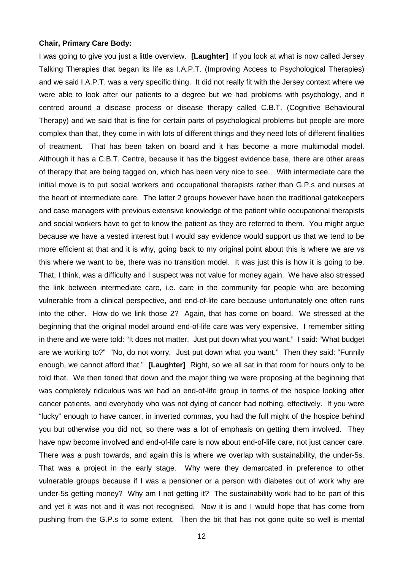#### **Chair, Primary Care Body:**

I was going to give you just a little overview. **[Laughter]** If you look at what is now called Jersey Talking Therapies that began its life as I.A.P.T. (Improving Access to Psychological Therapies) and we said I.A.P.T. was a very specific thing. It did not really fit with the Jersey context where we were able to look after our patients to a degree but we had problems with psychology, and it centred around a disease process or disease therapy called C.B.T. (Cognitive Behavioural Therapy) and we said that is fine for certain parts of psychological problems but people are more complex than that, they come in with lots of different things and they need lots of different finalities of treatment. That has been taken on board and it has become a more multimodal model. Although it has a C.B.T. Centre, because it has the biggest evidence base, there are other areas of therapy that are being tagged on, which has been very nice to see.. With intermediate care the initial move is to put social workers and occupational therapists rather than G.P.s and nurses at the heart of intermediate care. The latter 2 groups however have been the traditional gatekeepers and case managers with previous extensive knowledge of the patient while occupational therapists and social workers have to get to know the patient as they are referred to them. You might argue because we have a vested interest but I would say evidence would support us that we tend to be more efficient at that and it is why, going back to my original point about this is where we are vs this where we want to be, there was no transition model. It was just this is how it is going to be. That, I think, was a difficulty and I suspect was not value for money again. We have also stressed the link between intermediate care, i.e. care in the community for people who are becoming vulnerable from a clinical perspective, and end-of-life care because unfortunately one often runs into the other. How do we link those 2? Again, that has come on board. We stressed at the beginning that the original model around end-of-life care was very expensive. I remember sitting in there and we were told: "It does not matter. Just put down what you want." I said: "What budget are we working to?" "No, do not worry. Just put down what you want." Then they said: "Funnily enough, we cannot afford that." **[Laughter]** Right, so we all sat in that room for hours only to be told that. We then toned that down and the major thing we were proposing at the beginning that was completely ridiculous was we had an end-of-life group in terms of the hospice looking after cancer patients, and everybody who was not dying of cancer had nothing, effectively. If you were "lucky" enough to have cancer, in inverted commas, you had the full might of the hospice behind you but otherwise you did not, so there was a lot of emphasis on getting them involved. They have npw become involved and end-of-life care is now about end-of-life care, not just cancer care. There was a push towards, and again this is where we overlap with sustainability, the under-5s. That was a project in the early stage. Why were they demarcated in preference to other vulnerable groups because if I was a pensioner or a person with diabetes out of work why are under-5s getting money? Why am I not getting it? The sustainability work had to be part of this and yet it was not and it was not recognised. Now it is and I would hope that has come from pushing from the G.P.s to some extent. Then the bit that has not gone quite so well is mental

12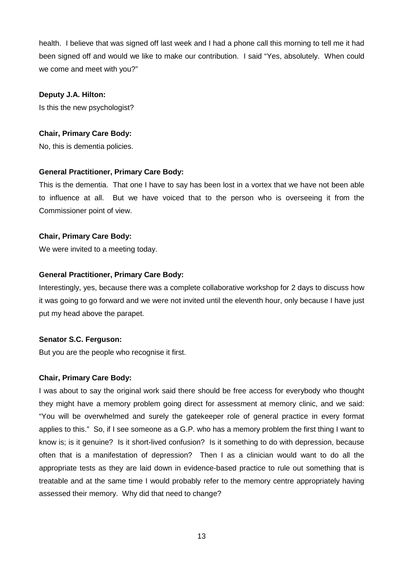health. I believe that was signed off last week and I had a phone call this morning to tell me it had been signed off and would we like to make our contribution. I said "Yes, absolutely. When could we come and meet with you?"

## **Deputy J.A. Hilton:**

Is this the new psychologist?

## **Chair, Primary Care Body:**

No, this is dementia policies.

## **General Practitioner, Primary Care Body:**

This is the dementia. That one I have to say has been lost in a vortex that we have not been able to influence at all. But we have voiced that to the person who is overseeing it from the Commissioner point of view.

## **Chair, Primary Care Body:**

We were invited to a meeting today.

## **General Practitioner, Primary Care Body:**

Interestingly, yes, because there was a complete collaborative workshop for 2 days to discuss how it was going to go forward and we were not invited until the eleventh hour, only because I have just put my head above the parapet.

## **Senator S.C. Ferguson:**

But you are the people who recognise it first.

#### **Chair, Primary Care Body:**

I was about to say the original work said there should be free access for everybody who thought they might have a memory problem going direct for assessment at memory clinic, and we said: "You will be overwhelmed and surely the gatekeeper role of general practice in every format applies to this." So, if I see someone as a G.P. who has a memory problem the first thing I want to know is; is it genuine? Is it short-lived confusion? Is it something to do with depression, because often that is a manifestation of depression? Then I as a clinician would want to do all the appropriate tests as they are laid down in evidence-based practice to rule out something that is treatable and at the same time I would probably refer to the memory centre appropriately having assessed their memory. Why did that need to change?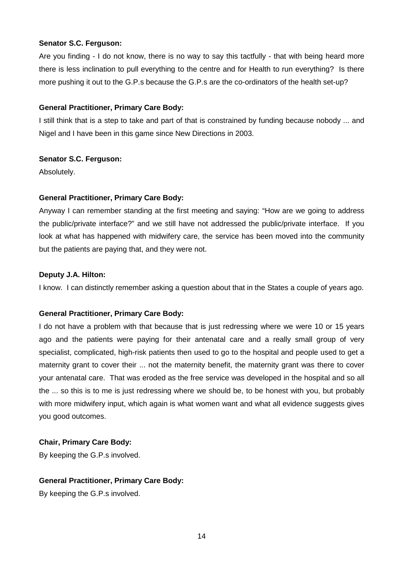## **Senator S.C. Ferguson:**

Are you finding - I do not know, there is no way to say this tactfully - that with being heard more there is less inclination to pull everything to the centre and for Health to run everything? Is there more pushing it out to the G.P.s because the G.P.s are the co-ordinators of the health set-up?

## **General Practitioner, Primary Care Body:**

I still think that is a step to take and part of that is constrained by funding because nobody ... and Nigel and I have been in this game since New Directions in 2003.

## **Senator S.C. Ferguson:**

Absolutely.

## **General Practitioner, Primary Care Body:**

Anyway I can remember standing at the first meeting and saying: "How are we going to address the public/private interface?" and we still have not addressed the public/private interface. If you look at what has happened with midwifery care, the service has been moved into the community but the patients are paying that, and they were not.

## **Deputy J.A. Hilton:**

I know. I can distinctly remember asking a question about that in the States a couple of years ago.

## **General Practitioner, Primary Care Body:**

I do not have a problem with that because that is just redressing where we were 10 or 15 years ago and the patients were paying for their antenatal care and a really small group of very specialist, complicated, high-risk patients then used to go to the hospital and people used to get a maternity grant to cover their ... not the maternity benefit, the maternity grant was there to cover your antenatal care. That was eroded as the free service was developed in the hospital and so all the ... so this is to me is just redressing where we should be, to be honest with you, but probably with more midwifery input, which again is what women want and what all evidence suggests gives you good outcomes.

## **Chair, Primary Care Body:**

By keeping the G.P.s involved.

#### **General Practitioner, Primary Care Body:**

By keeping the G.P.s involved.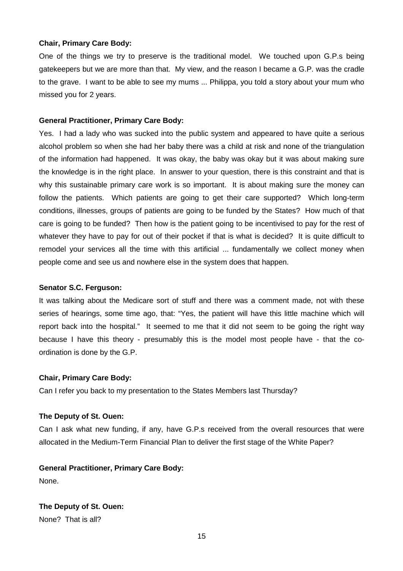## **Chair, Primary Care Body:**

One of the things we try to preserve is the traditional model. We touched upon G.P.s being gatekeepers but we are more than that. My view, and the reason I became a G.P. was the cradle to the grave. I want to be able to see my mums ... Philippa, you told a story about your mum who missed you for 2 years.

## **General Practitioner, Primary Care Body:**

Yes. I had a lady who was sucked into the public system and appeared to have quite a serious alcohol problem so when she had her baby there was a child at risk and none of the triangulation of the information had happened. It was okay, the baby was okay but it was about making sure the knowledge is in the right place. In answer to your question, there is this constraint and that is why this sustainable primary care work is so important. It is about making sure the money can follow the patients. Which patients are going to get their care supported? Which long-term conditions, illnesses, groups of patients are going to be funded by the States? How much of that care is going to be funded? Then how is the patient going to be incentivised to pay for the rest of whatever they have to pay for out of their pocket if that is what is decided? It is quite difficult to remodel your services all the time with this artificial ... fundamentally we collect money when people come and see us and nowhere else in the system does that happen.

#### **Senator S.C. Ferguson:**

It was talking about the Medicare sort of stuff and there was a comment made, not with these series of hearings, some time ago, that: "Yes, the patient will have this little machine which will report back into the hospital." It seemed to me that it did not seem to be going the right way because I have this theory - presumably this is the model most people have - that the coordination is done by the G.P.

#### **Chair, Primary Care Body:**

Can I refer you back to my presentation to the States Members last Thursday?

#### **The Deputy of St. Ouen:**

Can I ask what new funding, if any, have G.P.s received from the overall resources that were allocated in the Medium-Term Financial Plan to deliver the first stage of the White Paper?

# **General Practitioner, Primary Care Body:**  None.

# **The Deputy of St. Ouen:**

None? That is all?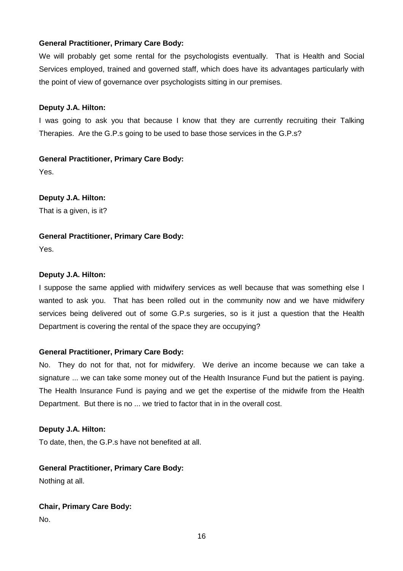## **General Practitioner, Primary Care Body:**

We will probably get some rental for the psychologists eventually. That is Health and Social Services employed, trained and governed staff, which does have its advantages particularly with the point of view of governance over psychologists sitting in our premises.

## **Deputy J.A. Hilton:**

I was going to ask you that because I know that they are currently recruiting their Talking Therapies. Are the G.P.s going to be used to base those services in the G.P.s?

**General Practitioner, Primary Care Body:** 

Yes.

**Deputy J.A. Hilton:**  That is a given, is it?

## **General Practitioner, Primary Care Body:**

Yes.

## **Deputy J.A. Hilton:**

I suppose the same applied with midwifery services as well because that was something else I wanted to ask you. That has been rolled out in the community now and we have midwifery services being delivered out of some G.P.s surgeries, so is it just a question that the Health Department is covering the rental of the space they are occupying?

## **General Practitioner, Primary Care Body:**

No. They do not for that, not for midwifery. We derive an income because we can take a signature ... we can take some money out of the Health Insurance Fund but the patient is paying. The Health Insurance Fund is paying and we get the expertise of the midwife from the Health Department. But there is no ... we tried to factor that in in the overall cost.

## **Deputy J.A. Hilton:**

To date, then, the G.P.s have not benefited at all.

## **General Practitioner, Primary Care Body:**

Nothing at all.

**Chair, Primary Care Body:**  No.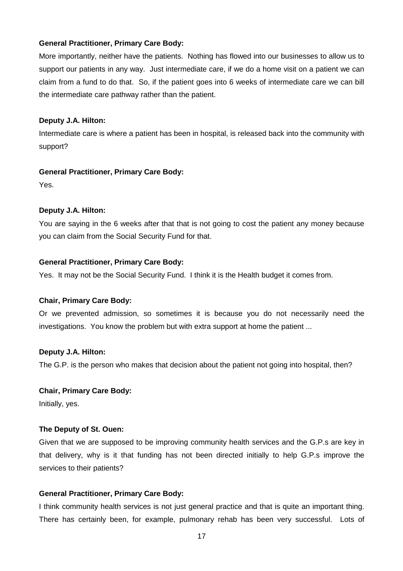## **General Practitioner, Primary Care Body:**

More importantly, neither have the patients. Nothing has flowed into our businesses to allow us to support our patients in any way. Just intermediate care, if we do a home visit on a patient we can claim from a fund to do that. So, if the patient goes into 6 weeks of intermediate care we can bill the intermediate care pathway rather than the patient.

## **Deputy J.A. Hilton:**

Intermediate care is where a patient has been in hospital, is released back into the community with support?

## **General Practitioner, Primary Care Body:**

Yes.

## **Deputy J.A. Hilton:**

You are saying in the 6 weeks after that that is not going to cost the patient any money because you can claim from the Social Security Fund for that.

## **General Practitioner, Primary Care Body:**

Yes. It may not be the Social Security Fund. I think it is the Health budget it comes from.

#### **Chair, Primary Care Body:**

Or we prevented admission, so sometimes it is because you do not necessarily need the investigations. You know the problem but with extra support at home the patient ...

#### **Deputy J.A. Hilton:**

The G.P. is the person who makes that decision about the patient not going into hospital, then?

#### **Chair, Primary Care Body:**

Initially, yes.

## **The Deputy of St. Ouen:**

Given that we are supposed to be improving community health services and the G.P.s are key in that delivery, why is it that funding has not been directed initially to help G.P.s improve the services to their patients?

#### **General Practitioner, Primary Care Body:**

I think community health services is not just general practice and that is quite an important thing. There has certainly been, for example, pulmonary rehab has been very successful. Lots of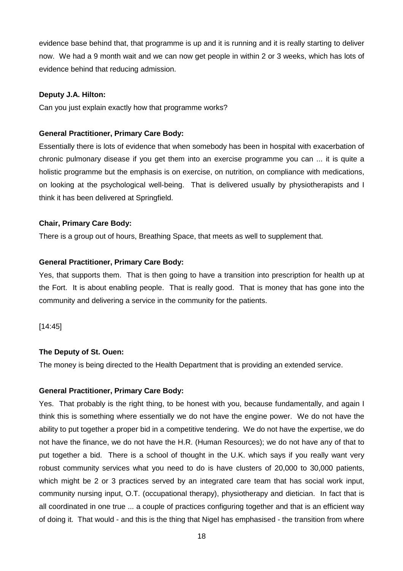evidence base behind that, that programme is up and it is running and it is really starting to deliver now. We had a 9 month wait and we can now get people in within 2 or 3 weeks, which has lots of evidence behind that reducing admission.

## **Deputy J.A. Hilton:**

Can you just explain exactly how that programme works?

## **General Practitioner, Primary Care Body:**

Essentially there is lots of evidence that when somebody has been in hospital with exacerbation of chronic pulmonary disease if you get them into an exercise programme you can ... it is quite a holistic programme but the emphasis is on exercise, on nutrition, on compliance with medications, on looking at the psychological well-being. That is delivered usually by physiotherapists and I think it has been delivered at Springfield.

## **Chair, Primary Care Body:**

There is a group out of hours, Breathing Space, that meets as well to supplement that.

## **General Practitioner, Primary Care Body:**

Yes, that supports them. That is then going to have a transition into prescription for health up at the Fort. It is about enabling people. That is really good. That is money that has gone into the community and delivering a service in the community for the patients.

[14:45]

## **The Deputy of St. Ouen:**

The money is being directed to the Health Department that is providing an extended service.

## **General Practitioner, Primary Care Body:**

Yes. That probably is the right thing, to be honest with you, because fundamentally, and again I think this is something where essentially we do not have the engine power. We do not have the ability to put together a proper bid in a competitive tendering. We do not have the expertise, we do not have the finance, we do not have the H.R. (Human Resources); we do not have any of that to put together a bid. There is a school of thought in the U.K. which says if you really want very robust community services what you need to do is have clusters of 20,000 to 30,000 patients, which might be 2 or 3 practices served by an integrated care team that has social work input, community nursing input, O.T. (occupational therapy), physiotherapy and dietician. In fact that is all coordinated in one true ... a couple of practices configuring together and that is an efficient way of doing it. That would - and this is the thing that Nigel has emphasised - the transition from where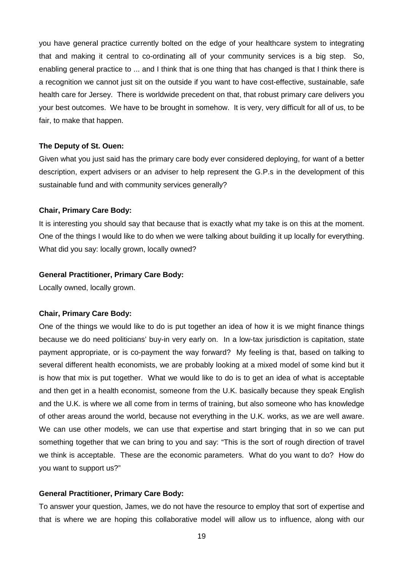you have general practice currently bolted on the edge of your healthcare system to integrating that and making it central to co-ordinating all of your community services is a big step. So, enabling general practice to ... and I think that is one thing that has changed is that I think there is a recognition we cannot just sit on the outside if you want to have cost-effective, sustainable, safe health care for Jersey. There is worldwide precedent on that, that robust primary care delivers you your best outcomes. We have to be brought in somehow. It is very, very difficult for all of us, to be fair, to make that happen.

#### **The Deputy of St. Ouen:**

Given what you just said has the primary care body ever considered deploying, for want of a better description, expert advisers or an adviser to help represent the G.P.s in the development of this sustainable fund and with community services generally?

#### **Chair, Primary Care Body:**

It is interesting you should say that because that is exactly what my take is on this at the moment. One of the things I would like to do when we were talking about building it up locally for everything. What did you say: locally grown, locally owned?

#### **General Practitioner, Primary Care Body:**

Locally owned, locally grown.

#### **Chair, Primary Care Body:**

One of the things we would like to do is put together an idea of how it is we might finance things because we do need politicians' buy-in very early on. In a low-tax jurisdiction is capitation, state payment appropriate, or is co-payment the way forward? My feeling is that, based on talking to several different health economists, we are probably looking at a mixed model of some kind but it is how that mix is put together. What we would like to do is to get an idea of what is acceptable and then get in a health economist, someone from the U.K. basically because they speak English and the U.K. is where we all come from in terms of training, but also someone who has knowledge of other areas around the world, because not everything in the U.K. works, as we are well aware. We can use other models, we can use that expertise and start bringing that in so we can put something together that we can bring to you and say: "This is the sort of rough direction of travel we think is acceptable. These are the economic parameters. What do you want to do? How do you want to support us?"

#### **General Practitioner, Primary Care Body:**

To answer your question, James, we do not have the resource to employ that sort of expertise and that is where we are hoping this collaborative model will allow us to influence, along with our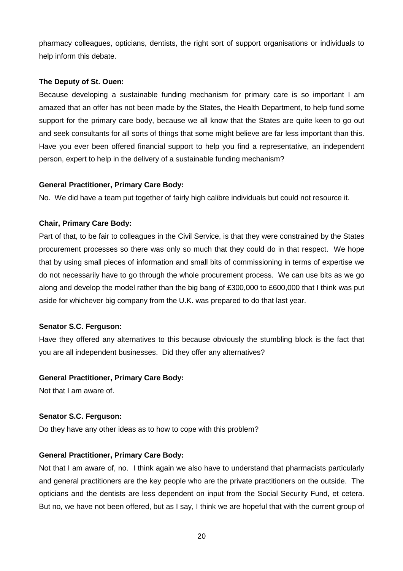pharmacy colleagues, opticians, dentists, the right sort of support organisations or individuals to help inform this debate.

## **The Deputy of St. Ouen:**

Because developing a sustainable funding mechanism for primary care is so important I am amazed that an offer has not been made by the States, the Health Department, to help fund some support for the primary care body, because we all know that the States are quite keen to go out and seek consultants for all sorts of things that some might believe are far less important than this. Have you ever been offered financial support to help you find a representative, an independent person, expert to help in the delivery of a sustainable funding mechanism?

## **General Practitioner, Primary Care Body:**

No. We did have a team put together of fairly high calibre individuals but could not resource it.

## **Chair, Primary Care Body:**

Part of that, to be fair to colleagues in the Civil Service, is that they were constrained by the States procurement processes so there was only so much that they could do in that respect. We hope that by using small pieces of information and small bits of commissioning in terms of expertise we do not necessarily have to go through the whole procurement process. We can use bits as we go along and develop the model rather than the big bang of £300,000 to £600,000 that I think was put aside for whichever big company from the U.K. was prepared to do that last year.

## **Senator S.C. Ferguson:**

Have they offered any alternatives to this because obviously the stumbling block is the fact that you are all independent businesses. Did they offer any alternatives?

## **General Practitioner, Primary Care Body:**

Not that I am aware of.

## **Senator S.C. Ferguson:**

Do they have any other ideas as to how to cope with this problem?

# **General Practitioner, Primary Care Body:**

Not that I am aware of, no. I think again we also have to understand that pharmacists particularly and general practitioners are the key people who are the private practitioners on the outside. The opticians and the dentists are less dependent on input from the Social Security Fund, et cetera. But no, we have not been offered, but as I say, I think we are hopeful that with the current group of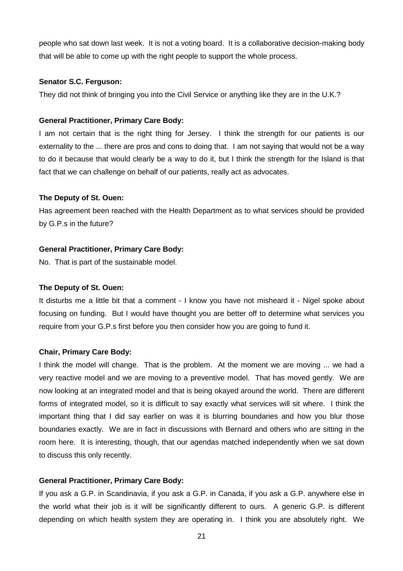people who sat down last week. It is not a voting board. It is a collaborative decision-making body that will be able to come up with the right people to support the whole process.

## **Senator S.C. Ferguson:**

They did not think of bringing you into the Civil Service or anything like they are in the U.K.?

## **General Practitioner, Primary Care Body:**

I am not certain that is the right thing for Jersey. I think the strength for our patients is our externality to the ... there are pros and cons to doing that. I am not saying that would not be a way to do it because that would clearly be a way to do it, but I think the strength for the Island is that fact that we can challenge on behalf of our patients, really act as advocates.

## **The Deputy of St. Ouen:**

Has agreement been reached with the Health Department as to what services should be provided by G.P.s in the future?

## **General Practitioner, Primary Care Body:**

No. That is part of the sustainable model.

## **The Deputy of St. Ouen:**

It disturbs me a little bit that a comment - I know you have not misheard it - Nigel spoke about focusing on funding. But I would have thought you are better off to determine what services you require from your G.P.s first before you then consider how you are going to fund it.

## **Chair, Primary Care Body:**

I think the model will change. That is the problem. At the moment we are moving ... we had a very reactive model and we are moving to a preventive model. That has moved gently. We are now looking at an integrated model and that is being okayed around the world. There are different forms of integrated model, so it is difficult to say exactly what services will sit where. I think the important thing that I did say earlier on was it is blurring boundaries and how you blur those boundaries exactly. We are in fact in discussions with Bernard and others who are sitting in the room here. It is interesting, though, that our agendas matched independently when we sat down to discuss this only recently.

## **General Practitioner, Primary Care Body:**

If you ask a G.P. in Scandinavia, if you ask a G.P. in Canada, if you ask a G.P. anywhere else in the world what their job is it will be significantly different to ours. A generic G.P. is different depending on which health system they are operating in. I think you are absolutely right. We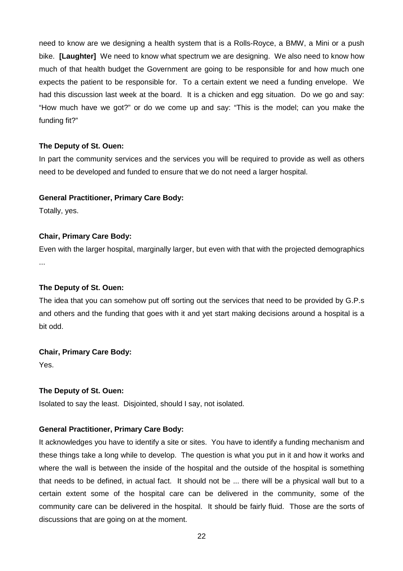need to know are we designing a health system that is a Rolls-Royce, a BMW, a Mini or a push bike. **[Laughter]** We need to know what spectrum we are designing. We also need to know how much of that health budget the Government are going to be responsible for and how much one expects the patient to be responsible for. To a certain extent we need a funding envelope. We had this discussion last week at the board. It is a chicken and egg situation. Do we go and say: "How much have we got?" or do we come up and say: "This is the model; can you make the funding fit?"

## **The Deputy of St. Ouen:**

In part the community services and the services you will be required to provide as well as others need to be developed and funded to ensure that we do not need a larger hospital.

## **General Practitioner, Primary Care Body:**

Totally, yes.

## **Chair, Primary Care Body:**

Even with the larger hospital, marginally larger, but even with that with the projected demographics ...

## **The Deputy of St. Ouen:**

The idea that you can somehow put off sorting out the services that need to be provided by G.P.s and others and the funding that goes with it and yet start making decisions around a hospital is a bit odd.

## **Chair, Primary Care Body:**

Yes.

## **The Deputy of St. Ouen:**

Isolated to say the least. Disjointed, should I say, not isolated.

# **General Practitioner, Primary Care Body:**

It acknowledges you have to identify a site or sites. You have to identify a funding mechanism and these things take a long while to develop. The question is what you put in it and how it works and where the wall is between the inside of the hospital and the outside of the hospital is something that needs to be defined, in actual fact. It should not be ... there will be a physical wall but to a certain extent some of the hospital care can be delivered in the community, some of the community care can be delivered in the hospital. It should be fairly fluid. Those are the sorts of discussions that are going on at the moment.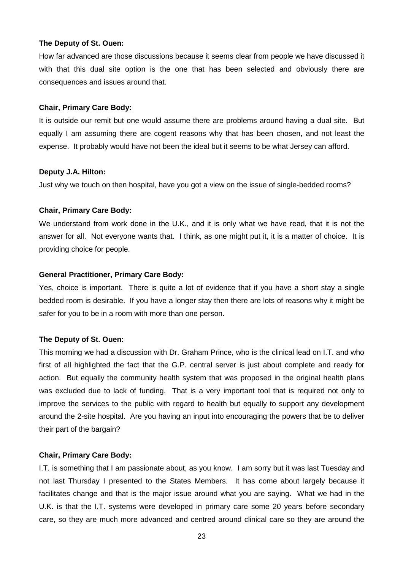#### **The Deputy of St. Ouen:**

How far advanced are those discussions because it seems clear from people we have discussed it with that this dual site option is the one that has been selected and obviously there are consequences and issues around that.

#### **Chair, Primary Care Body:**

It is outside our remit but one would assume there are problems around having a dual site. But equally I am assuming there are cogent reasons why that has been chosen, and not least the expense. It probably would have not been the ideal but it seems to be what Jersey can afford.

#### **Deputy J.A. Hilton:**

Just why we touch on then hospital, have you got a view on the issue of single-bedded rooms?

#### **Chair, Primary Care Body:**

We understand from work done in the U.K., and it is only what we have read, that it is not the answer for all. Not everyone wants that. I think, as one might put it, it is a matter of choice. It is providing choice for people.

#### **General Practitioner, Primary Care Body:**

Yes, choice is important. There is quite a lot of evidence that if you have a short stay a single bedded room is desirable. If you have a longer stay then there are lots of reasons why it might be safer for you to be in a room with more than one person.

#### **The Deputy of St. Ouen:**

This morning we had a discussion with Dr. Graham Prince, who is the clinical lead on I.T. and who first of all highlighted the fact that the G.P. central server is just about complete and ready for action. But equally the community health system that was proposed in the original health plans was excluded due to lack of funding. That is a very important tool that is required not only to improve the services to the public with regard to health but equally to support any development around the 2-site hospital. Are you having an input into encouraging the powers that be to deliver their part of the bargain?

#### **Chair, Primary Care Body:**

I.T. is something that I am passionate about, as you know. I am sorry but it was last Tuesday and not last Thursday I presented to the States Members. It has come about largely because it facilitates change and that is the major issue around what you are saying. What we had in the U.K. is that the I.T. systems were developed in primary care some 20 years before secondary care, so they are much more advanced and centred around clinical care so they are around the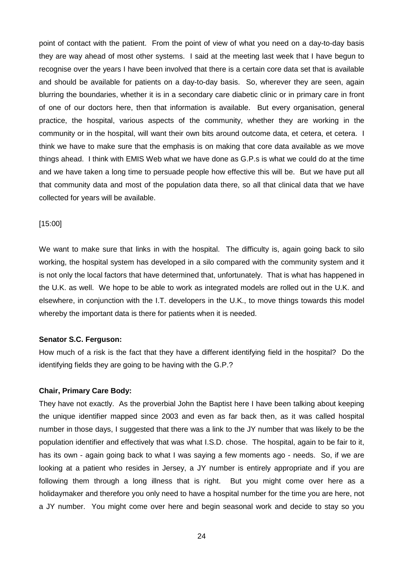point of contact with the patient. From the point of view of what you need on a day-to-day basis they are way ahead of most other systems. I said at the meeting last week that I have begun to recognise over the years I have been involved that there is a certain core data set that is available and should be available for patients on a day-to-day basis. So, wherever they are seen, again blurring the boundaries, whether it is in a secondary care diabetic clinic or in primary care in front of one of our doctors here, then that information is available. But every organisation, general practice, the hospital, various aspects of the community, whether they are working in the community or in the hospital, will want their own bits around outcome data, et cetera, et cetera. I think we have to make sure that the emphasis is on making that core data available as we move things ahead. I think with EMIS Web what we have done as G.P.s is what we could do at the time and we have taken a long time to persuade people how effective this will be. But we have put all that community data and most of the population data there, so all that clinical data that we have collected for years will be available.

## [15:00]

We want to make sure that links in with the hospital. The difficulty is, again going back to silo working, the hospital system has developed in a silo compared with the community system and it is not only the local factors that have determined that, unfortunately. That is what has happened in the U.K. as well. We hope to be able to work as integrated models are rolled out in the U.K. and elsewhere, in conjunction with the I.T. developers in the U.K., to move things towards this model whereby the important data is there for patients when it is needed.

#### **Senator S.C. Ferguson:**

How much of a risk is the fact that they have a different identifying field in the hospital? Do the identifying fields they are going to be having with the G.P.?

#### **Chair, Primary Care Body:**

They have not exactly. As the proverbial John the Baptist here I have been talking about keeping the unique identifier mapped since 2003 and even as far back then, as it was called hospital number in those days, I suggested that there was a link to the JY number that was likely to be the population identifier and effectively that was what I.S.D. chose. The hospital, again to be fair to it, has its own - again going back to what I was saying a few moments ago - needs. So, if we are looking at a patient who resides in Jersey, a JY number is entirely appropriate and if you are following them through a long illness that is right. But you might come over here as a holidaymaker and therefore you only need to have a hospital number for the time you are here, not a JY number. You might come over here and begin seasonal work and decide to stay so you